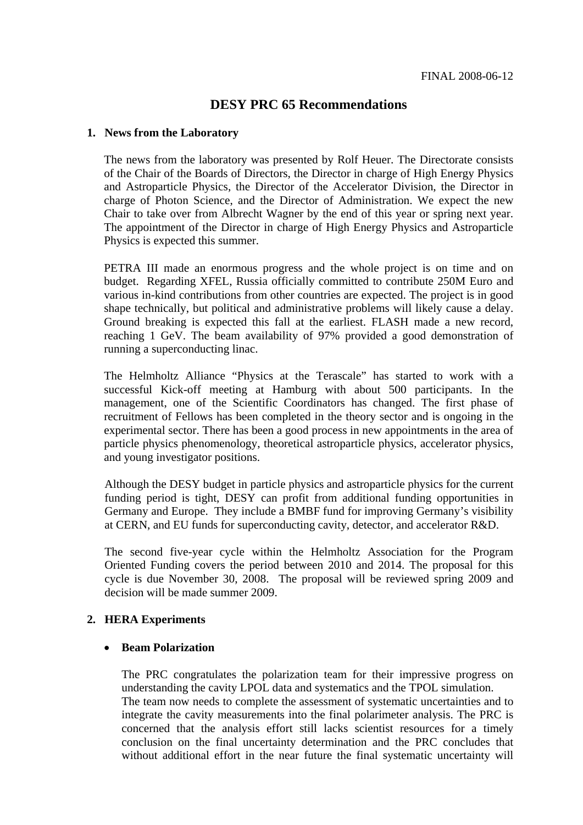# **DESY PRC 65 Recommendations**

#### **1. News from the Laboratory**

The news from the laboratory was presented by Rolf Heuer. The Directorate consists of the Chair of the Boards of Directors, the Director in charge of High Energy Physics and Astroparticle Physics, the Director of the Accelerator Division, the Director in charge of Photon Science, and the Director of Administration. We expect the new Chair to take over from Albrecht Wagner by the end of this year or spring next year. The appointment of the Director in charge of High Energy Physics and Astroparticle Physics is expected this summer.

PETRA III made an enormous progress and the whole project is on time and on budget. Regarding XFEL, Russia officially committed to contribute 250M Euro and various in-kind contributions from other countries are expected. The project is in good shape technically, but political and administrative problems will likely cause a delay. Ground breaking is expected this fall at the earliest. FLASH made a new record, reaching 1 GeV. The beam availability of 97% provided a good demonstration of running a superconducting linac.

The Helmholtz Alliance "Physics at the Terascale" has started to work with a successful Kick-off meeting at Hamburg with about 500 participants. In the management, one of the Scientific Coordinators has changed. The first phase of recruitment of Fellows has been completed in the theory sector and is ongoing in the experimental sector. There has been a good process in new appointments in the area of particle physics phenomenology, theoretical astroparticle physics, accelerator physics, and young investigator positions.

Although the DESY budget in particle physics and astroparticle physics for the current funding period is tight, DESY can profit from additional funding opportunities in Germany and Europe. They include a BMBF fund for improving Germany's visibility at CERN, and EU funds for superconducting cavity, detector, and accelerator R&D.

The second five-year cycle within the Helmholtz Association for the Program Oriented Funding covers the period between 2010 and 2014. The proposal for this cycle is due November 30, 2008. The proposal will be reviewed spring 2009 and decision will be made summer 2009.

#### **2. HERA Experiments**

#### • **Beam Polarization**

The PRC congratulates the polarization team for their impressive progress on understanding the cavity LPOL data and systematics and the TPOL simulation. The team now needs to complete the assessment of systematic uncertainties and to integrate the cavity measurements into the final polarimeter analysis. The PRC is concerned that the analysis effort still lacks scientist resources for a timely conclusion on the final uncertainty determination and the PRC concludes that without additional effort in the near future the final systematic uncertainty will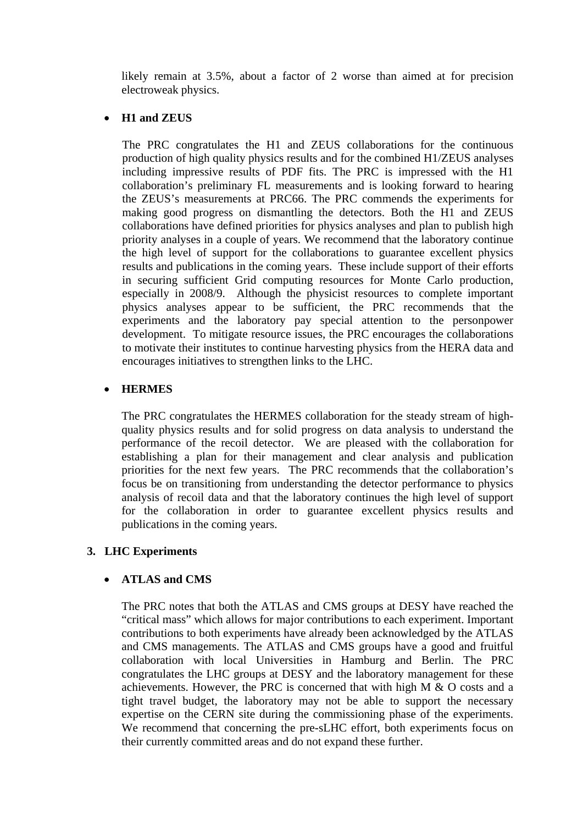likely remain at 3.5%, about a factor of 2 worse than aimed at for precision electroweak physics.

#### • **H1 and ZEUS**

The PRC congratulates the H1 and ZEUS collaborations for the continuous production of high quality physics results and for the combined H1/ZEUS analyses including impressive results of PDF fits. The PRC is impressed with the H1 collaboration's preliminary FL measurements and is looking forward to hearing the ZEUS's measurements at PRC66. The PRC commends the experiments for making good progress on dismantling the detectors. Both the H1 and ZEUS collaborations have defined priorities for physics analyses and plan to publish high priority analyses in a couple of years. We recommend that the laboratory continue the high level of support for the collaborations to guarantee excellent physics results and publications in the coming years. These include support of their efforts in securing sufficient Grid computing resources for Monte Carlo production, especially in 2008/9. Although the physicist resources to complete important physics analyses appear to be sufficient, the PRC recommends that the experiments and the laboratory pay special attention to the personpower development. To mitigate resource issues, the PRC encourages the collaborations to motivate their institutes to continue harvesting physics from the HERA data and encourages initiatives to strengthen links to the LHC.

## • **HERMES**

The PRC congratulates the HERMES collaboration for the steady stream of highquality physics results and for solid progress on data analysis to understand the performance of the recoil detector. We are pleased with the collaboration for establishing a plan for their management and clear analysis and publication priorities for the next few years. The PRC recommends that the collaboration's focus be on transitioning from understanding the detector performance to physics analysis of recoil data and that the laboratory continues the high level of support for the collaboration in order to guarantee excellent physics results and publications in the coming years.

#### **3. LHC Experiments**

## • **ATLAS and CMS**

The PRC notes that both the ATLAS and CMS groups at DESY have reached the "critical mass" which allows for major contributions to each experiment. Important contributions to both experiments have already been acknowledged by the ATLAS and CMS managements. The ATLAS and CMS groups have a good and fruitful collaboration with local Universities in Hamburg and Berlin. The PRC congratulates the LHC groups at DESY and the laboratory management for these achievements. However, the PRC is concerned that with high M & O costs and a tight travel budget, the laboratory may not be able to support the necessary expertise on the CERN site during the commissioning phase of the experiments. We recommend that concerning the pre-sLHC effort, both experiments focus on their currently committed areas and do not expand these further.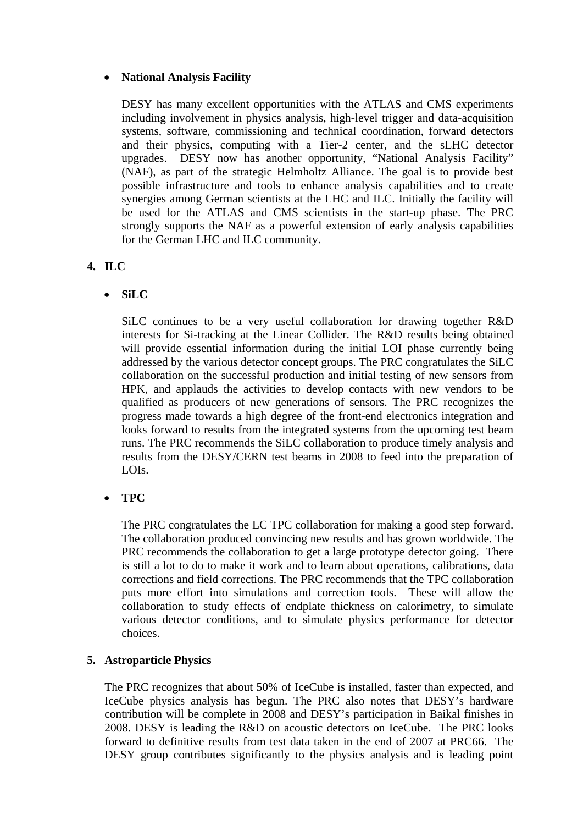#### • **National Analysis Facility**

DESY has many excellent opportunities with the ATLAS and CMS experiments including involvement in physics analysis, high-level trigger and data-acquisition systems, software, commissioning and technical coordination, forward detectors and their physics, computing with a Tier-2 center, and the sLHC detector upgrades. DESY now has another opportunity, "National Analysis Facility" (NAF), as part of the strategic Helmholtz Alliance. The goal is to provide best possible infrastructure and tools to enhance analysis capabilities and to create synergies among German scientists at the LHC and ILC. Initially the facility will be used for the ATLAS and CMS scientists in the start-up phase. The PRC strongly supports the NAF as a powerful extension of early analysis capabilities for the German LHC and ILC community.

## **4. ILC**

• **SiLC** 

SiLC continues to be a very useful collaboration for drawing together R&D interests for Si-tracking at the Linear Collider. The R&D results being obtained will provide essential information during the initial LOI phase currently being addressed by the various detector concept groups. The PRC congratulates the SiLC collaboration on the successful production and initial testing of new sensors from HPK, and applauds the activities to develop contacts with new vendors to be qualified as producers of new generations of sensors. The PRC recognizes the progress made towards a high degree of the front-end electronics integration and looks forward to results from the integrated systems from the upcoming test beam runs. The PRC recommends the SiLC collaboration to produce timely analysis and results from the DESY/CERN test beams in 2008 to feed into the preparation of LOIs.

• **TPC** 

The PRC congratulates the LC TPC collaboration for making a good step forward. The collaboration produced convincing new results and has grown worldwide. The PRC recommends the collaboration to get a large prototype detector going. There is still a lot to do to make it work and to learn about operations, calibrations, data corrections and field corrections. The PRC recommends that the TPC collaboration puts more effort into simulations and correction tools. These will allow the collaboration to study effects of endplate thickness on calorimetry, to simulate various detector conditions, and to simulate physics performance for detector choices.

## **5. Astroparticle Physics**

The PRC recognizes that about 50% of IceCube is installed, faster than expected, and IceCube physics analysis has begun. The PRC also notes that DESY's hardware contribution will be complete in 2008 and DESY's participation in Baikal finishes in 2008. DESY is leading the R&D on acoustic detectors on IceCube. The PRC looks forward to definitive results from test data taken in the end of 2007 at PRC66. The DESY group contributes significantly to the physics analysis and is leading point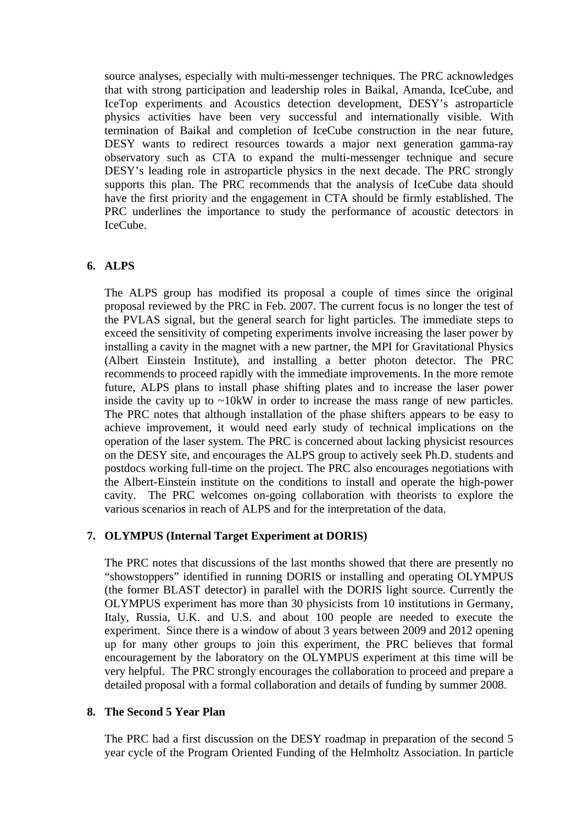source analyses, especially with multi-messenger techniques. The PRC acknowledges that with strong participation and leadership roles in Baikal, Amanda, IceCube, and IceTop experiments and Acoustics detection development, DESY's astroparticle physics activities have been very successful and internationally visible. With termination of Baikal and completion of IceCube construction in the near future, DESY wants to redirect resources towards a major next generation gamma-ray observatory such as CTA to expand the multi-messenger technique and secure DESY's leading role in astroparticle physics in the next decade. The PRC strongly supports this plan. The PRC recommends that the analysis of IceCube data should have the first priority and the engagement in CTA should be firmly established. The PRC underlines the importance to study the performance of acoustic detectors in IceCube.

## **6. ALPS**

The ALPS group has modified its proposal a couple of times since the original proposal reviewed by the PRC in Feb. 2007. The current focus is no longer the test of the PVLAS signal, but the general search for light particles. The immediate steps to exceed the sensitivity of competing experiments involve increasing the laser power by installing a cavity in the magnet with a new partner, the MPI for Gravitational Physics (Albert Einstein Institute), and installing a better photon detector. The PRC recommends to proceed rapidly with the immediate improvements. In the more remote future, ALPS plans to install phase shifting plates and to increase the laser power inside the cavity up to  $\sim$ 10kW in order to increase the mass range of new particles. The PRC notes that although installation of the phase shifters appears to be easy to achieve improvement, it would need early study of technical implications on the operation of the laser system. The PRC is concerned about lacking physicist resources on the DESY site, and encourages the ALPS group to actively seek Ph.D. students and postdocs working full-time on the project. The PRC also encourages negotiations with the Albert-Einstein institute on the conditions to install and operate the high-power cavity. The PRC welcomes on-going collaboration with theorists to explore the various scenarios in reach of ALPS and for the interpretation of the data.

## **7. OLYMPUS (Internal Target Experiment at DORIS)**

The PRC notes that discussions of the last months showed that there are presently no "showstoppers" identified in running DORIS or installing and operating OLYMPUS (the former BLAST detector) in parallel with the DORIS light source. Currently the OLYMPUS experiment has more than 30 physicists from 10 institutions in Germany, Italy, Russia, U.K. and U.S. and about 100 people are needed to execute the experiment. Since there is a window of about 3 years between 2009 and 2012 opening up for many other groups to join this experiment, the PRC believes that formal encouragement by the laboratory on the OLYMPUS experiment at this time will be very helpful. The PRC strongly encourages the collaboration to proceed and prepare a detailed proposal with a formal collaboration and details of funding by summer 2008.

#### **8. The Second 5 Year Plan**

The PRC had a first discussion on the DESY roadmap in preparation of the second 5 year cycle of the Program Oriented Funding of the Helmholtz Association. In particle